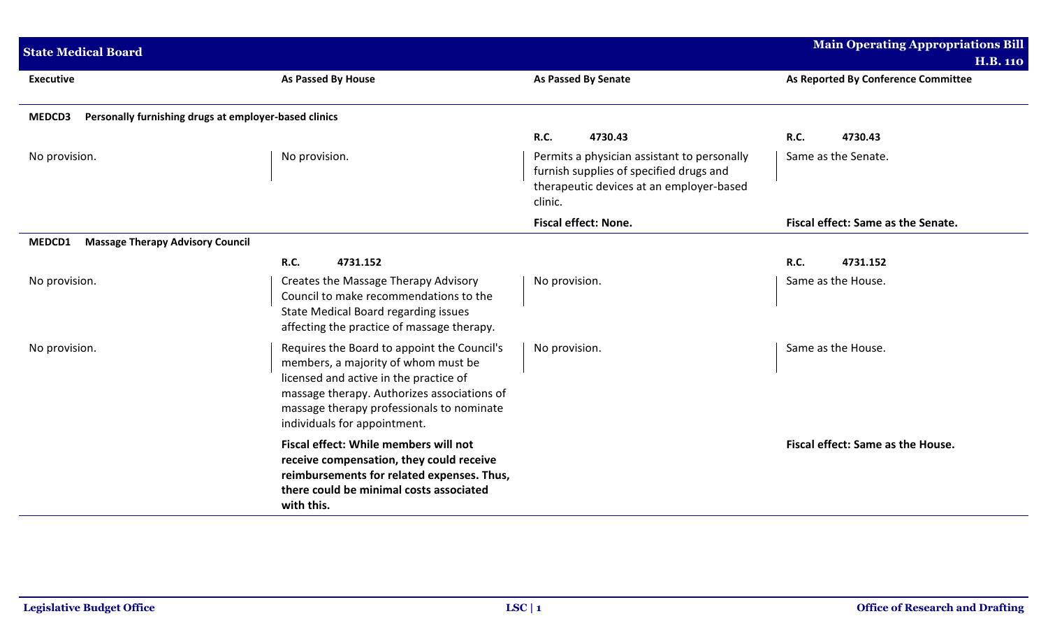| <b>State Medical Board</b>                                      |                                                                                                                                                                                                                                                          |                                                                                                                                                                  | <b>Main Operating Appropriations Bill</b><br><b>H.B. 110</b> |
|-----------------------------------------------------------------|----------------------------------------------------------------------------------------------------------------------------------------------------------------------------------------------------------------------------------------------------------|------------------------------------------------------------------------------------------------------------------------------------------------------------------|--------------------------------------------------------------|
| <b>Executive</b>                                                | <b>As Passed By House</b>                                                                                                                                                                                                                                | <b>As Passed By Senate</b>                                                                                                                                       | As Reported By Conference Committee                          |
| Personally furnishing drugs at employer-based clinics<br>MEDCD3 |                                                                                                                                                                                                                                                          |                                                                                                                                                                  |                                                              |
| No provision.                                                   | No provision.                                                                                                                                                                                                                                            | R.C.<br>4730.43<br>Permits a physician assistant to personally<br>furnish supplies of specified drugs and<br>therapeutic devices at an employer-based<br>clinic. | 4730.43<br>R.C.<br>Same as the Senate.                       |
|                                                                 |                                                                                                                                                                                                                                                          | <b>Fiscal effect: None.</b>                                                                                                                                      | Fiscal effect: Same as the Senate.                           |
| <b>Massage Therapy Advisory Council</b><br>MEDCD1               |                                                                                                                                                                                                                                                          |                                                                                                                                                                  |                                                              |
|                                                                 | <b>R.C.</b><br>4731.152                                                                                                                                                                                                                                  |                                                                                                                                                                  | <b>R.C.</b><br>4731.152                                      |
| No provision.                                                   | Creates the Massage Therapy Advisory<br>Council to make recommendations to the<br>State Medical Board regarding issues<br>affecting the practice of massage therapy.                                                                                     | No provision.                                                                                                                                                    | Same as the House.                                           |
| No provision.                                                   | Requires the Board to appoint the Council's<br>members, a majority of whom must be<br>licensed and active in the practice of<br>massage therapy. Authorizes associations of<br>massage therapy professionals to nominate<br>individuals for appointment. | No provision.                                                                                                                                                    | Same as the House.                                           |
|                                                                 | Fiscal effect: While members will not<br>receive compensation, they could receive<br>reimbursements for related expenses. Thus,<br>there could be minimal costs associated<br>with this.                                                                 |                                                                                                                                                                  | Fiscal effect: Same as the House.                            |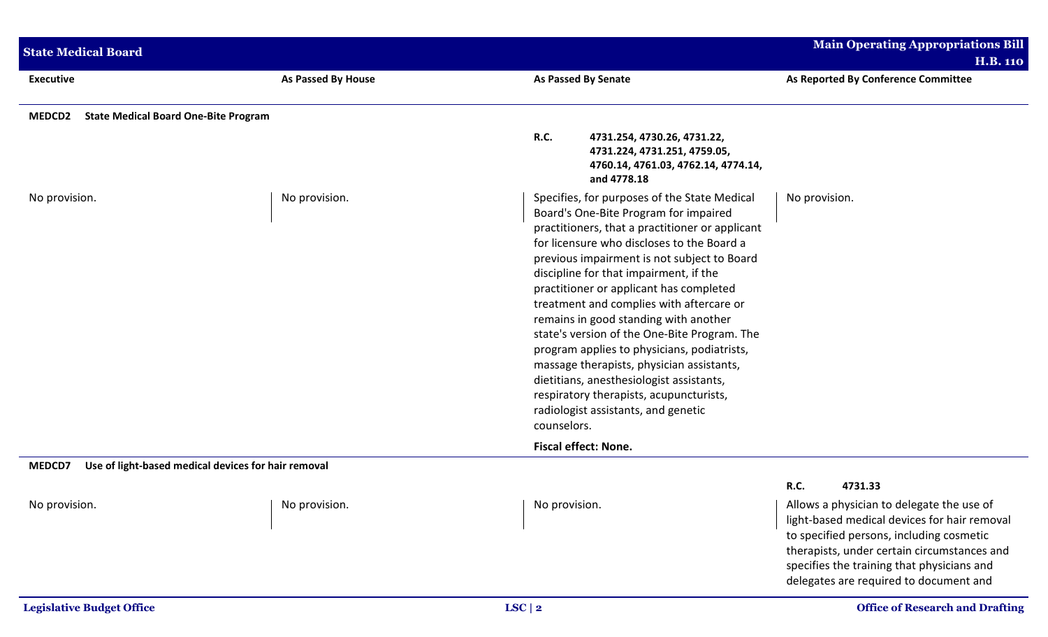| <b>State Medical Board</b>                                   |                                                     |                                                                                                                                                                                                                                                                                                                                                                                                                                                                                                                                                                                                                                                                                                          | <b>Main Operating Appropriations Bill</b><br><b>H.B. 110</b>                                                                                                                         |
|--------------------------------------------------------------|-----------------------------------------------------|----------------------------------------------------------------------------------------------------------------------------------------------------------------------------------------------------------------------------------------------------------------------------------------------------------------------------------------------------------------------------------------------------------------------------------------------------------------------------------------------------------------------------------------------------------------------------------------------------------------------------------------------------------------------------------------------------------|--------------------------------------------------------------------------------------------------------------------------------------------------------------------------------------|
| <b>Executive</b>                                             | As Passed By House                                  | As Passed By Senate                                                                                                                                                                                                                                                                                                                                                                                                                                                                                                                                                                                                                                                                                      | As Reported By Conference Committee                                                                                                                                                  |
| <b>State Medical Board One-Bite Program</b><br><b>MEDCD2</b> |                                                     |                                                                                                                                                                                                                                                                                                                                                                                                                                                                                                                                                                                                                                                                                                          |                                                                                                                                                                                      |
|                                                              |                                                     | <b>R.C.</b><br>4731.254, 4730.26, 4731.22,<br>4731.224, 4731.251, 4759.05,<br>4760.14, 4761.03, 4762.14, 4774.14,<br>and 4778.18                                                                                                                                                                                                                                                                                                                                                                                                                                                                                                                                                                         |                                                                                                                                                                                      |
| No provision.                                                | No provision.                                       | Specifies, for purposes of the State Medical<br>Board's One-Bite Program for impaired<br>practitioners, that a practitioner or applicant<br>for licensure who discloses to the Board a<br>previous impairment is not subject to Board<br>discipline for that impairment, if the<br>practitioner or applicant has completed<br>treatment and complies with aftercare or<br>remains in good standing with another<br>state's version of the One-Bite Program. The<br>program applies to physicians, podiatrists,<br>massage therapists, physician assistants,<br>dietitians, anesthesiologist assistants,<br>respiratory therapists, acupuncturists,<br>radiologist assistants, and genetic<br>counselors. | No provision.                                                                                                                                                                        |
|                                                              |                                                     | <b>Fiscal effect: None.</b>                                                                                                                                                                                                                                                                                                                                                                                                                                                                                                                                                                                                                                                                              |                                                                                                                                                                                      |
| MEDCD7                                                       | Use of light-based medical devices for hair removal |                                                                                                                                                                                                                                                                                                                                                                                                                                                                                                                                                                                                                                                                                                          | R.C.<br>4731.33                                                                                                                                                                      |
| No provision.                                                | No provision.                                       | No provision.                                                                                                                                                                                                                                                                                                                                                                                                                                                                                                                                                                                                                                                                                            | Allows a physician to delegate the use of<br>light-based medical devices for hair removal<br>to specified persons, including cosmetic<br>therapists, under certain circumstances and |

specifies the training that physicians and delegates are required to document and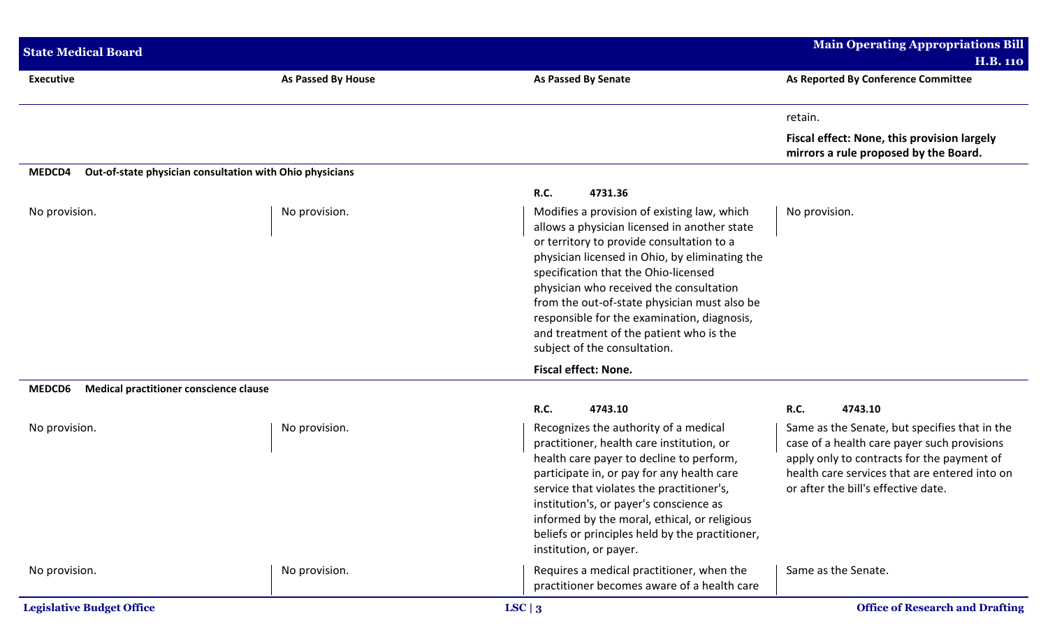| <b>State Medical Board</b>                       |                                                          |                                                                                                                                                                                                                                                                                                                                                                                                                                                         | <b>Main Operating Appropriations Bill</b><br><b>H.B. 110</b>                                                                                                                                                                       |
|--------------------------------------------------|----------------------------------------------------------|---------------------------------------------------------------------------------------------------------------------------------------------------------------------------------------------------------------------------------------------------------------------------------------------------------------------------------------------------------------------------------------------------------------------------------------------------------|------------------------------------------------------------------------------------------------------------------------------------------------------------------------------------------------------------------------------------|
| <b>Executive</b>                                 | As Passed By House                                       | <b>As Passed By Senate</b>                                                                                                                                                                                                                                                                                                                                                                                                                              | As Reported By Conference Committee                                                                                                                                                                                                |
|                                                  |                                                          |                                                                                                                                                                                                                                                                                                                                                                                                                                                         | retain.                                                                                                                                                                                                                            |
|                                                  |                                                          |                                                                                                                                                                                                                                                                                                                                                                                                                                                         | Fiscal effect: None, this provision largely<br>mirrors a rule proposed by the Board.                                                                                                                                               |
| MEDCD4                                           | Out-of-state physician consultation with Ohio physicians |                                                                                                                                                                                                                                                                                                                                                                                                                                                         |                                                                                                                                                                                                                                    |
|                                                  |                                                          | R.C.<br>4731.36                                                                                                                                                                                                                                                                                                                                                                                                                                         |                                                                                                                                                                                                                                    |
| No provision.                                    | No provision.                                            | Modifies a provision of existing law, which<br>allows a physician licensed in another state<br>or territory to provide consultation to a<br>physician licensed in Ohio, by eliminating the<br>specification that the Ohio-licensed<br>physician who received the consultation<br>from the out-of-state physician must also be<br>responsible for the examination, diagnosis,<br>and treatment of the patient who is the<br>subject of the consultation. | No provision.                                                                                                                                                                                                                      |
|                                                  |                                                          | <b>Fiscal effect: None.</b>                                                                                                                                                                                                                                                                                                                                                                                                                             |                                                                                                                                                                                                                                    |
| Medical practitioner conscience clause<br>MEDCD6 |                                                          |                                                                                                                                                                                                                                                                                                                                                                                                                                                         |                                                                                                                                                                                                                                    |
|                                                  |                                                          | R.C.<br>4743.10                                                                                                                                                                                                                                                                                                                                                                                                                                         | <b>R.C.</b><br>4743.10                                                                                                                                                                                                             |
| No provision.                                    | No provision.                                            | Recognizes the authority of a medical<br>practitioner, health care institution, or<br>health care payer to decline to perform,<br>participate in, or pay for any health care<br>service that violates the practitioner's,<br>institution's, or payer's conscience as<br>informed by the moral, ethical, or religious<br>beliefs or principles held by the practitioner,<br>institution, or payer.                                                       | Same as the Senate, but specifies that in the<br>case of a health care payer such provisions<br>apply only to contracts for the payment of<br>health care services that are entered into on<br>or after the bill's effective date. |
| No provision.                                    | No provision.                                            | Requires a medical practitioner, when the<br>practitioner becomes aware of a health care                                                                                                                                                                                                                                                                                                                                                                | Same as the Senate.                                                                                                                                                                                                                |
| <b>Legislative Budget Office</b>                 |                                                          | LSC   3                                                                                                                                                                                                                                                                                                                                                                                                                                                 | <b>Office of Research and Drafting</b>                                                                                                                                                                                             |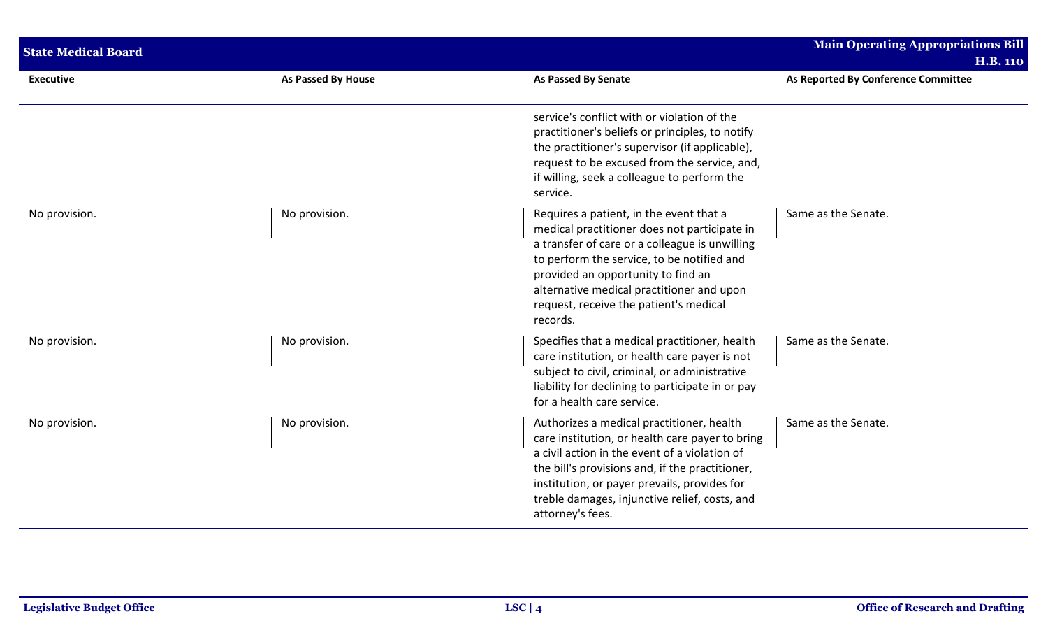| <b>State Medical Board</b> |                    |                                                                                                                                                                                                                                                                                                                                  | <b>Main Operating Appropriations Bill</b><br><b>H.B. 110</b> |
|----------------------------|--------------------|----------------------------------------------------------------------------------------------------------------------------------------------------------------------------------------------------------------------------------------------------------------------------------------------------------------------------------|--------------------------------------------------------------|
| <b>Executive</b>           | As Passed By House | <b>As Passed By Senate</b>                                                                                                                                                                                                                                                                                                       | As Reported By Conference Committee                          |
|                            |                    | service's conflict with or violation of the<br>practitioner's beliefs or principles, to notify<br>the practitioner's supervisor (if applicable),<br>request to be excused from the service, and,<br>if willing, seek a colleague to perform the<br>service.                                                                      |                                                              |
| No provision.              | No provision.      | Requires a patient, in the event that a<br>medical practitioner does not participate in<br>a transfer of care or a colleague is unwilling<br>to perform the service, to be notified and<br>provided an opportunity to find an<br>alternative medical practitioner and upon<br>request, receive the patient's medical<br>records. | Same as the Senate.                                          |
| No provision.              | No provision.      | Specifies that a medical practitioner, health<br>care institution, or health care payer is not<br>subject to civil, criminal, or administrative<br>liability for declining to participate in or pay<br>for a health care service.                                                                                                | Same as the Senate.                                          |
| No provision.              | No provision.      | Authorizes a medical practitioner, health<br>care institution, or health care payer to bring<br>a civil action in the event of a violation of<br>the bill's provisions and, if the practitioner,<br>institution, or payer prevails, provides for<br>treble damages, injunctive relief, costs, and<br>attorney's fees.            | Same as the Senate.                                          |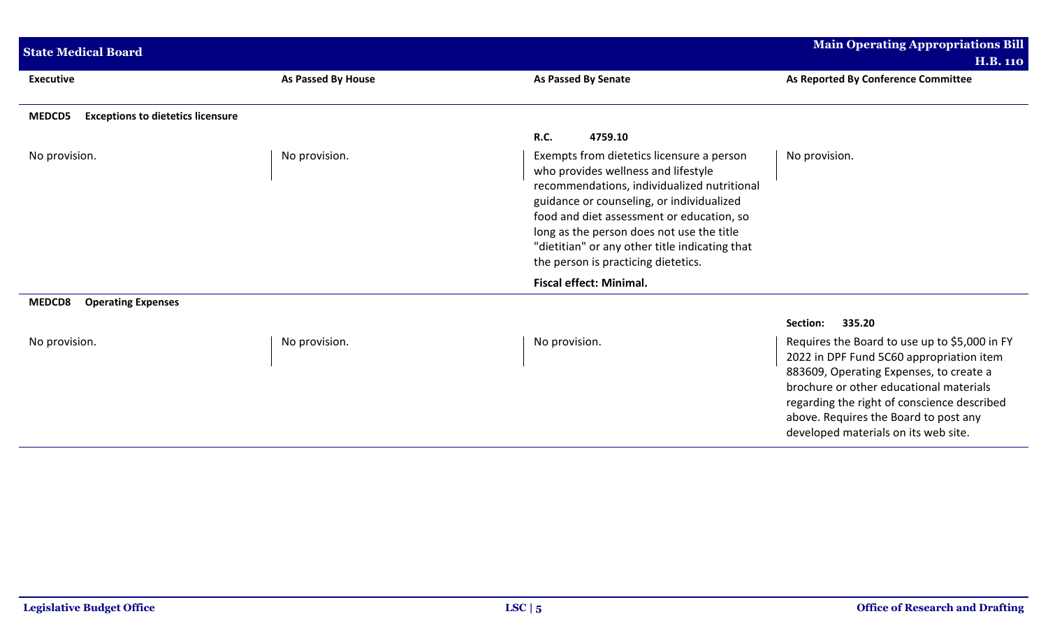| <b>State Medical Board</b>                         |                    |                                                                                                                                                                                                                                                                                                                                                                 | <b>Main Operating Appropriations Bill</b><br>H.B. 110                                                                                                                                                                                                                                                           |
|----------------------------------------------------|--------------------|-----------------------------------------------------------------------------------------------------------------------------------------------------------------------------------------------------------------------------------------------------------------------------------------------------------------------------------------------------------------|-----------------------------------------------------------------------------------------------------------------------------------------------------------------------------------------------------------------------------------------------------------------------------------------------------------------|
| <b>Executive</b>                                   | As Passed By House | As Passed By Senate                                                                                                                                                                                                                                                                                                                                             | As Reported By Conference Committee                                                                                                                                                                                                                                                                             |
| <b>Exceptions to dietetics licensure</b><br>MEDCD5 |                    |                                                                                                                                                                                                                                                                                                                                                                 |                                                                                                                                                                                                                                                                                                                 |
|                                                    |                    | <b>R.C.</b><br>4759.10                                                                                                                                                                                                                                                                                                                                          |                                                                                                                                                                                                                                                                                                                 |
| No provision.                                      | No provision.      | Exempts from dietetics licensure a person<br>who provides wellness and lifestyle<br>recommendations, individualized nutritional<br>guidance or counseling, or individualized<br>food and diet assessment or education, so<br>long as the person does not use the title<br>"dietitian" or any other title indicating that<br>the person is practicing dietetics. | No provision.                                                                                                                                                                                                                                                                                                   |
|                                                    |                    | <b>Fiscal effect: Minimal.</b>                                                                                                                                                                                                                                                                                                                                  |                                                                                                                                                                                                                                                                                                                 |
| MEDCD8<br><b>Operating Expenses</b>                |                    |                                                                                                                                                                                                                                                                                                                                                                 |                                                                                                                                                                                                                                                                                                                 |
|                                                    |                    |                                                                                                                                                                                                                                                                                                                                                                 | Section:<br>335.20                                                                                                                                                                                                                                                                                              |
| No provision.                                      | No provision.      | No provision.                                                                                                                                                                                                                                                                                                                                                   | Requires the Board to use up to \$5,000 in FY<br>2022 in DPF Fund 5C60 appropriation item<br>883609, Operating Expenses, to create a<br>brochure or other educational materials<br>regarding the right of conscience described<br>above. Requires the Board to post any<br>developed materials on its web site. |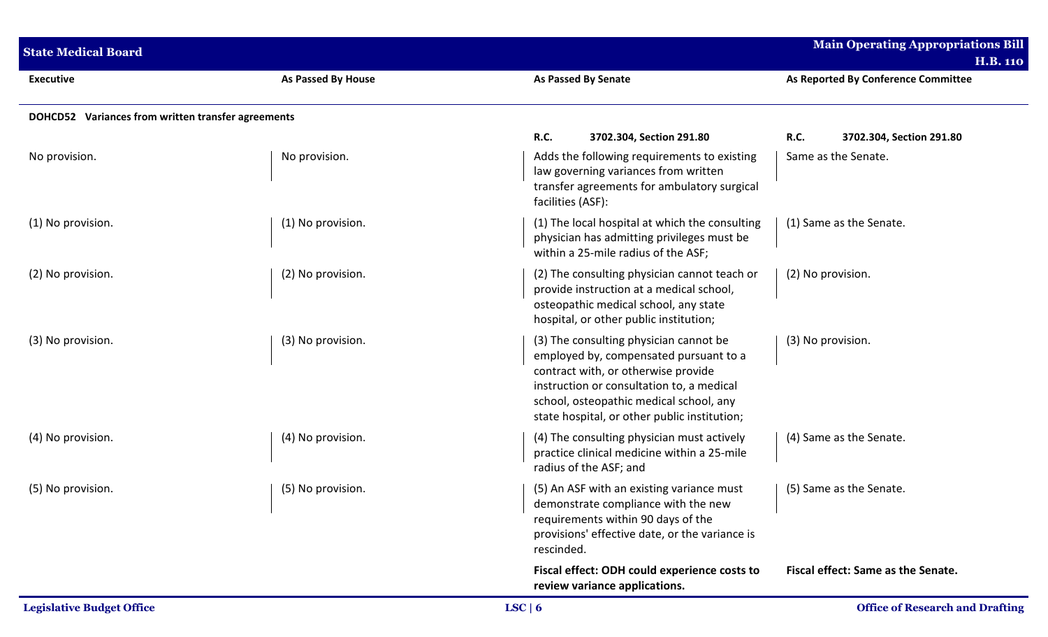| <b>State Medical Board</b>                         |                    |                                                                                                                                                                                                                                                                 | <b>Main Operating Appropriations Bill</b><br><b>H.B. 110</b> |
|----------------------------------------------------|--------------------|-----------------------------------------------------------------------------------------------------------------------------------------------------------------------------------------------------------------------------------------------------------------|--------------------------------------------------------------|
| <b>Executive</b>                                   | As Passed By House | As Passed By Senate                                                                                                                                                                                                                                             | As Reported By Conference Committee                          |
| DOHCD52 Variances from written transfer agreements |                    |                                                                                                                                                                                                                                                                 |                                                              |
|                                                    |                    | <b>R.C.</b><br>3702.304, Section 291.80                                                                                                                                                                                                                         | <b>R.C.</b><br>3702.304, Section 291.80                      |
| No provision.                                      | No provision.      | Adds the following requirements to existing<br>law governing variances from written<br>transfer agreements for ambulatory surgical<br>facilities (ASF):                                                                                                         | Same as the Senate.                                          |
| (1) No provision.                                  | (1) No provision.  | (1) The local hospital at which the consulting<br>physician has admitting privileges must be<br>within a 25-mile radius of the ASF;                                                                                                                             | (1) Same as the Senate.                                      |
| (2) No provision.                                  | (2) No provision.  | (2) The consulting physician cannot teach or<br>provide instruction at a medical school,<br>osteopathic medical school, any state<br>hospital, or other public institution;                                                                                     | (2) No provision.                                            |
| (3) No provision.                                  | (3) No provision.  | (3) The consulting physician cannot be<br>employed by, compensated pursuant to a<br>contract with, or otherwise provide<br>instruction or consultation to, a medical<br>school, osteopathic medical school, any<br>state hospital, or other public institution; | (3) No provision.                                            |
| (4) No provision.                                  | (4) No provision.  | (4) The consulting physician must actively<br>practice clinical medicine within a 25-mile<br>radius of the ASF; and                                                                                                                                             | (4) Same as the Senate.                                      |
| (5) No provision.                                  | (5) No provision.  | (5) An ASF with an existing variance must<br>demonstrate compliance with the new<br>requirements within 90 days of the<br>provisions' effective date, or the variance is<br>rescinded.                                                                          | (5) Same as the Senate.                                      |
|                                                    |                    | Fiscal effect: ODH could experience costs to<br>review variance applications.                                                                                                                                                                                   | Fiscal effect: Same as the Senate.                           |
| <b>Legislative Budget Office</b>                   |                    | LSC   6                                                                                                                                                                                                                                                         | <b>Office of Research and Drafting</b>                       |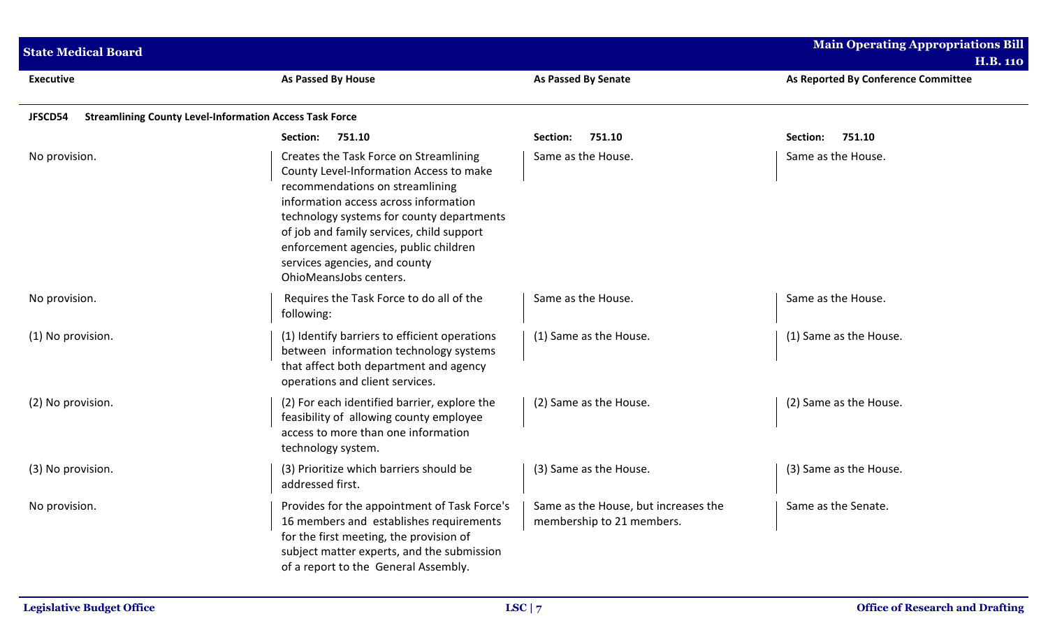| <b>State Medical Board</b> |                                                                                                                                                                                                                                                                                                                                                             |                                                                   | <b>Main Operating Appropriations Bill</b> |  |
|----------------------------|-------------------------------------------------------------------------------------------------------------------------------------------------------------------------------------------------------------------------------------------------------------------------------------------------------------------------------------------------------------|-------------------------------------------------------------------|-------------------------------------------|--|
|                            |                                                                                                                                                                                                                                                                                                                                                             |                                                                   | <b>H.B. 110</b>                           |  |
| <b>Executive</b>           | As Passed By House                                                                                                                                                                                                                                                                                                                                          | <b>As Passed By Senate</b>                                        | As Reported By Conference Committee       |  |
| JFSCD54                    | <b>Streamlining County Level-Information Access Task Force</b>                                                                                                                                                                                                                                                                                              |                                                                   |                                           |  |
|                            | Section:<br>751.10                                                                                                                                                                                                                                                                                                                                          | 751.10<br>Section:                                                | 751.10<br>Section:                        |  |
| No provision.              | Creates the Task Force on Streamlining<br>County Level-Information Access to make<br>recommendations on streamlining<br>information access across information<br>technology systems for county departments<br>of job and family services, child support<br>enforcement agencies, public children<br>services agencies, and county<br>OhioMeansJobs centers. | Same as the House.                                                | Same as the House.                        |  |
| No provision.              | Requires the Task Force to do all of the<br>following:                                                                                                                                                                                                                                                                                                      | Same as the House.                                                | Same as the House.                        |  |
| (1) No provision.          | (1) Identify barriers to efficient operations<br>between information technology systems<br>that affect both department and agency<br>operations and client services.                                                                                                                                                                                        | (1) Same as the House.                                            | (1) Same as the House.                    |  |
| (2) No provision.          | (2) For each identified barrier, explore the<br>feasibility of allowing county employee<br>access to more than one information<br>technology system.                                                                                                                                                                                                        | (2) Same as the House.                                            | (2) Same as the House.                    |  |
| (3) No provision.          | (3) Prioritize which barriers should be<br>addressed first.                                                                                                                                                                                                                                                                                                 | (3) Same as the House.                                            | (3) Same as the House.                    |  |
| No provision.              | Provides for the appointment of Task Force's<br>16 members and establishes requirements<br>for the first meeting, the provision of<br>subject matter experts, and the submission<br>of a report to the General Assembly.                                                                                                                                    | Same as the House, but increases the<br>membership to 21 members. | Same as the Senate.                       |  |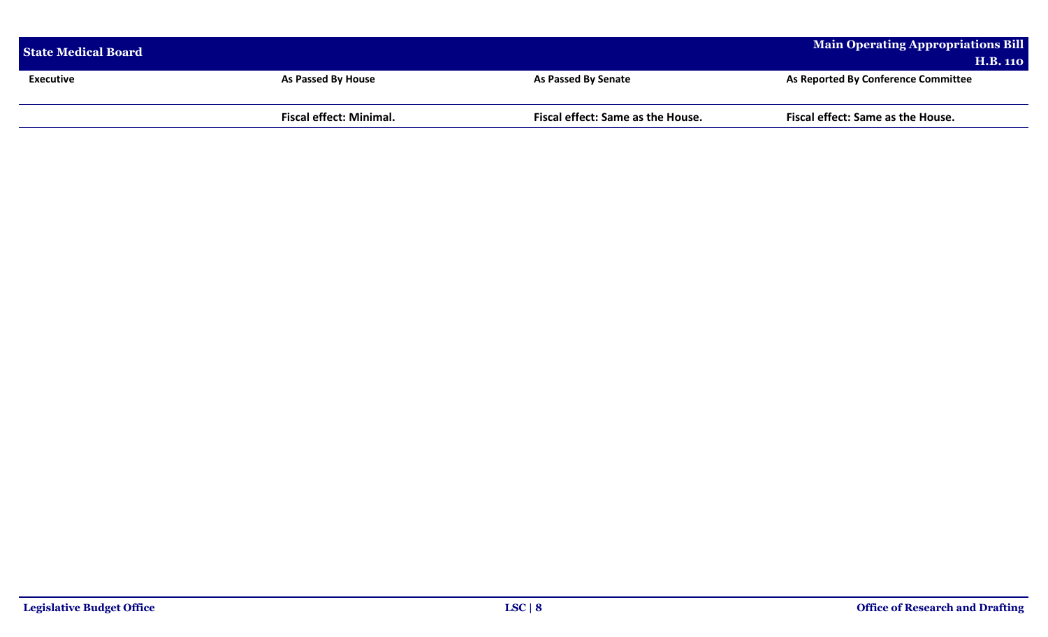| <b>State Medical Board</b> |                                |                                   | Main Operating Appropriations Bill         |
|----------------------------|--------------------------------|-----------------------------------|--------------------------------------------|
|                            |                                |                                   | <b>H.B. 110</b>                            |
| <b>Executive</b>           | <b>As Passed By House</b>      | <b>As Passed By Senate</b>        | <b>As Reported By Conference Committee</b> |
|                            |                                |                                   |                                            |
|                            | <b>Fiscal effect: Minimal.</b> | Fiscal effect: Same as the House. | <b>Fiscal effect: Same as the House.</b>   |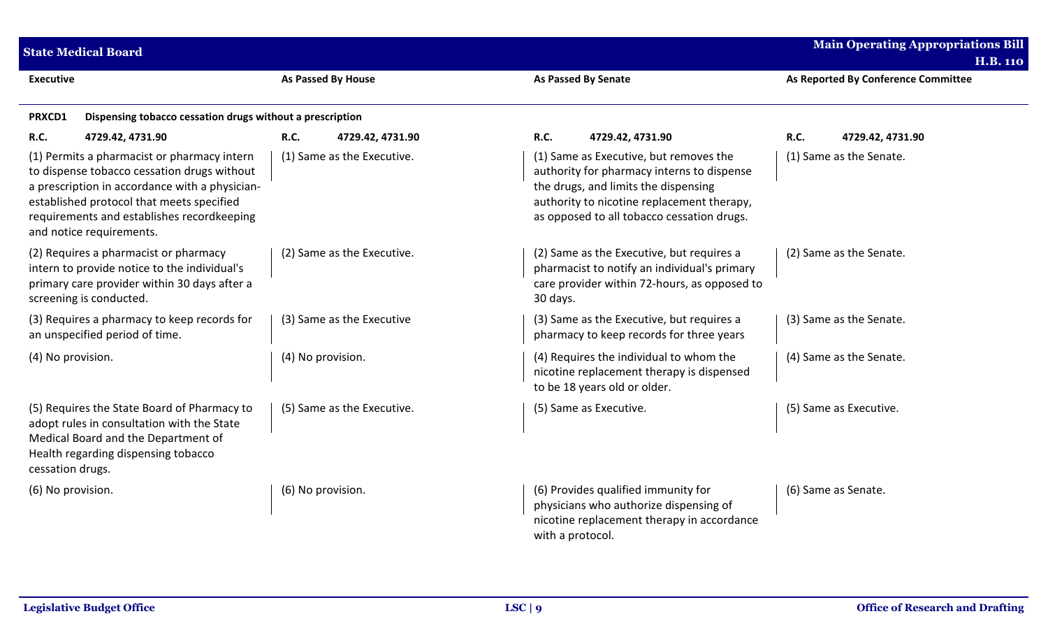|                   | <b>State Medical Board</b>                                                                                                                                                                                                                                          |                            |                                                                                                                                                                                                                          | <b>Main Operating Appropriations Bill</b><br><b>H.B. 110</b> |
|-------------------|---------------------------------------------------------------------------------------------------------------------------------------------------------------------------------------------------------------------------------------------------------------------|----------------------------|--------------------------------------------------------------------------------------------------------------------------------------------------------------------------------------------------------------------------|--------------------------------------------------------------|
| <b>Executive</b>  |                                                                                                                                                                                                                                                                     | As Passed By House         | <b>As Passed By Senate</b>                                                                                                                                                                                               | As Reported By Conference Committee                          |
| PRXCD1            | Dispensing tobacco cessation drugs without a prescription                                                                                                                                                                                                           |                            |                                                                                                                                                                                                                          |                                                              |
| R.C.              | 4729.42, 4731.90                                                                                                                                                                                                                                                    | R.C.<br>4729.42, 4731.90   | <b>R.C.</b><br>4729.42, 4731.90                                                                                                                                                                                          | R.C.<br>4729.42, 4731.90                                     |
|                   | (1) Permits a pharmacist or pharmacy intern<br>to dispense tobacco cessation drugs without<br>a prescription in accordance with a physician-<br>established protocol that meets specified<br>requirements and establishes recordkeeping<br>and notice requirements. | (1) Same as the Executive. | (1) Same as Executive, but removes the<br>authority for pharmacy interns to dispense<br>the drugs, and limits the dispensing<br>authority to nicotine replacement therapy,<br>as opposed to all tobacco cessation drugs. | (1) Same as the Senate.                                      |
|                   | (2) Requires a pharmacist or pharmacy<br>intern to provide notice to the individual's<br>primary care provider within 30 days after a<br>screening is conducted.                                                                                                    | (2) Same as the Executive. | (2) Same as the Executive, but requires a<br>pharmacist to notify an individual's primary<br>care provider within 72-hours, as opposed to<br>30 days.                                                                    | (2) Same as the Senate.                                      |
|                   | (3) Requires a pharmacy to keep records for<br>an unspecified period of time.                                                                                                                                                                                       | (3) Same as the Executive  | (3) Same as the Executive, but requires a<br>pharmacy to keep records for three years                                                                                                                                    | (3) Same as the Senate.                                      |
| (4) No provision. |                                                                                                                                                                                                                                                                     | (4) No provision.          | (4) Requires the individual to whom the<br>nicotine replacement therapy is dispensed<br>to be 18 years old or older.                                                                                                     | (4) Same as the Senate.                                      |
| cessation drugs.  | (5) Requires the State Board of Pharmacy to<br>adopt rules in consultation with the State<br>Medical Board and the Department of<br>Health regarding dispensing tobacco                                                                                             | (5) Same as the Executive. | (5) Same as Executive.                                                                                                                                                                                                   | (5) Same as Executive.                                       |
| (6) No provision. |                                                                                                                                                                                                                                                                     | (6) No provision.          | (6) Provides qualified immunity for<br>physicians who authorize dispensing of<br>nicotine replacement therapy in accordance<br>with a protocol.                                                                          | (6) Same as Senate.                                          |